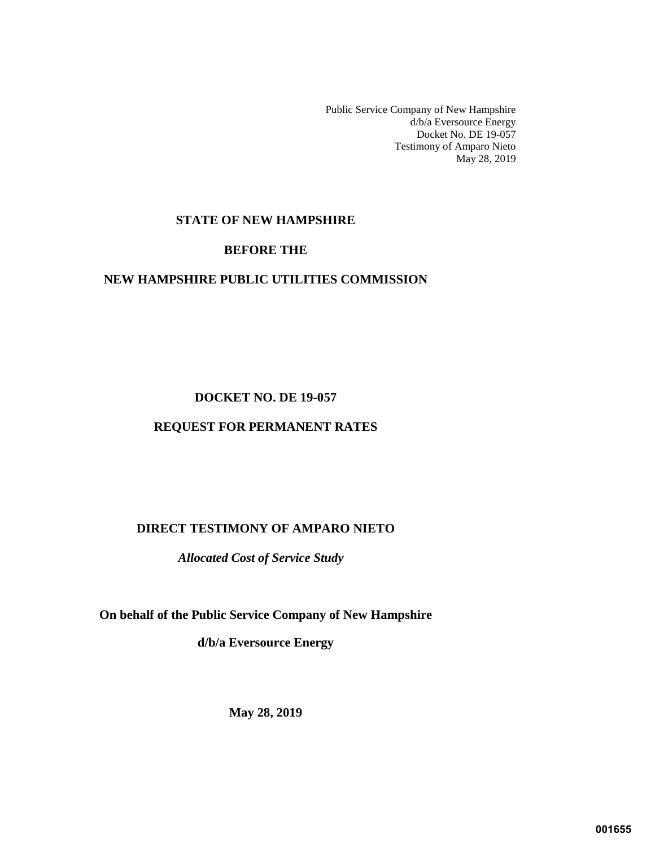Public Service Company of New Hampshire d/b/a Eversource Energy Docket No. DE 19-057 Testimony of Amparo Nieto May 28, 2019

# **STATE OF NEW HAMPSHIRE**

### **BEFORE THE**

#### **NEW HAMPSHIRE PUBLIC UTILITIES COMMISSION**

#### **DOCKET NO. DE 19-057**

#### **REQUEST FOR PERMANENT RATES**

# **DIRECT TESTIMONY OF AMPARO NIETO**

*Allocated Cost of Service Study* 

**On behalf of the Public Service Company of New Hampshire** 

**d/b/a Eversource Energy**

**May 28, 2019**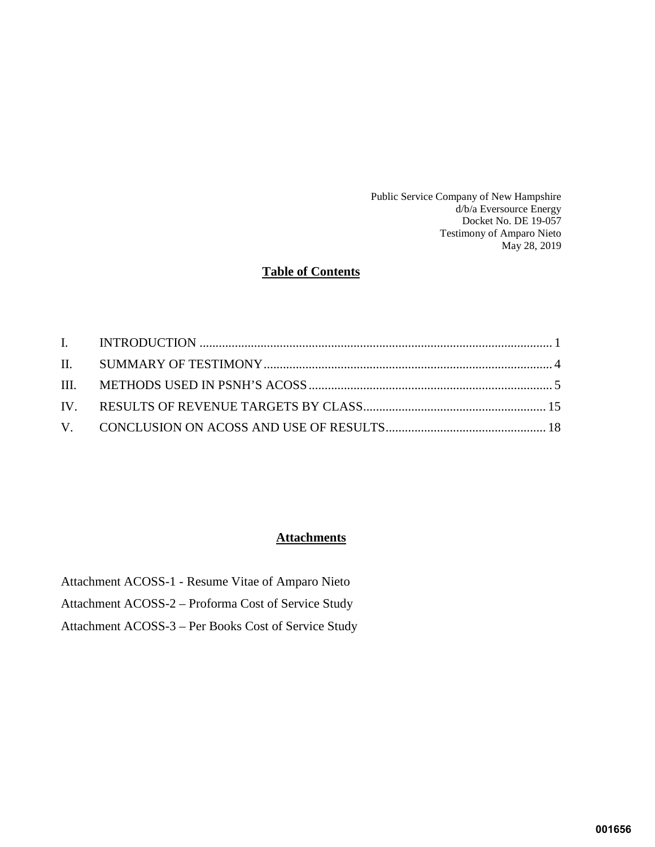Public Service Company of New Hampshire d/b/a Eversource Energy Docket No. DE 19-057 Testimony of Amparo Nieto May 28, 2019

# **Table of Contents**

# **Attachments**

Attachment ACOSS-1 - Resume Vitae of Amparo Nieto Attachment ACOSS-2 – Proforma Cost of Service Study

Attachment ACOSS-3 – Per Books Cost of Service Study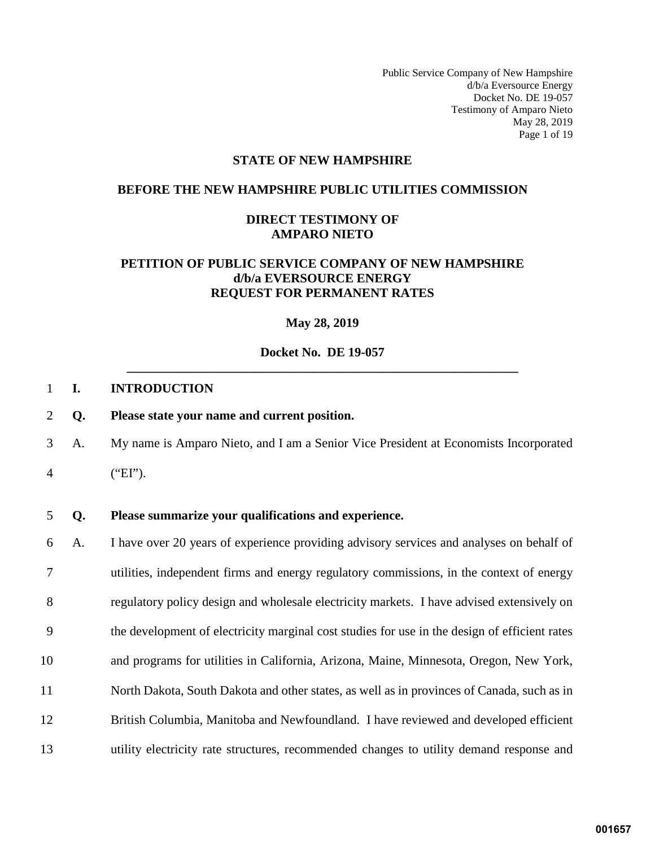Public Service Company of New Hampshire d/b/a Eversource Energy Docket No. DE 19-057 Testimony of Amparo Nieto May 28, 2019 Page 1 of 19

#### **STATE OF NEW HAMPSHIRE**

#### **BEFORE THE NEW HAMPSHIRE PUBLIC UTILITIES COMMISSION**

#### **DIRECT TESTIMONY OF AMPARO NIETO**

# **PETITION OF PUBLIC SERVICE COMPANY OF NEW HAMPSHIRE d/b/a EVERSOURCE ENERGY REQUEST FOR PERMANENT RATES**

**May 28, 2019** 

## <span id="page-2-0"></span>**Docket No. DE 19-057 \_\_\_\_\_\_\_\_\_\_\_\_\_\_\_\_\_\_\_\_\_\_\_\_\_\_\_\_\_\_\_\_\_\_\_\_\_\_\_\_\_\_\_\_\_\_\_\_\_\_\_\_\_\_\_\_\_\_\_\_\_**

#### 1 **I. INTRODUCTION**

- 2 **Q. Please state your name and current position.**
- 3 A. My name is Amparo Nieto, and I am a Senior Vice President at Economists Incorporated
- 4 ("EI").

#### 5 **Q. Please summarize your qualifications and experience.**

6 A. I have over 20 years of experience providing advisory services and analyses on behalf of 7 utilities, independent firms and energy regulatory commissions, in the context of energy 8 regulatory policy design and wholesale electricity markets. I have advised extensively on 9 the development of electricity marginal cost studies for use in the design of efficient rates 10 and programs for utilities in California, Arizona, Maine, Minnesota, Oregon, New York, 11 North Dakota, South Dakota and other states, as well as in provinces of Canada, such as in 12 British Columbia, Manitoba and Newfoundland. I have reviewed and developed efficient 13 utility electricity rate structures, recommended changes to utility demand response and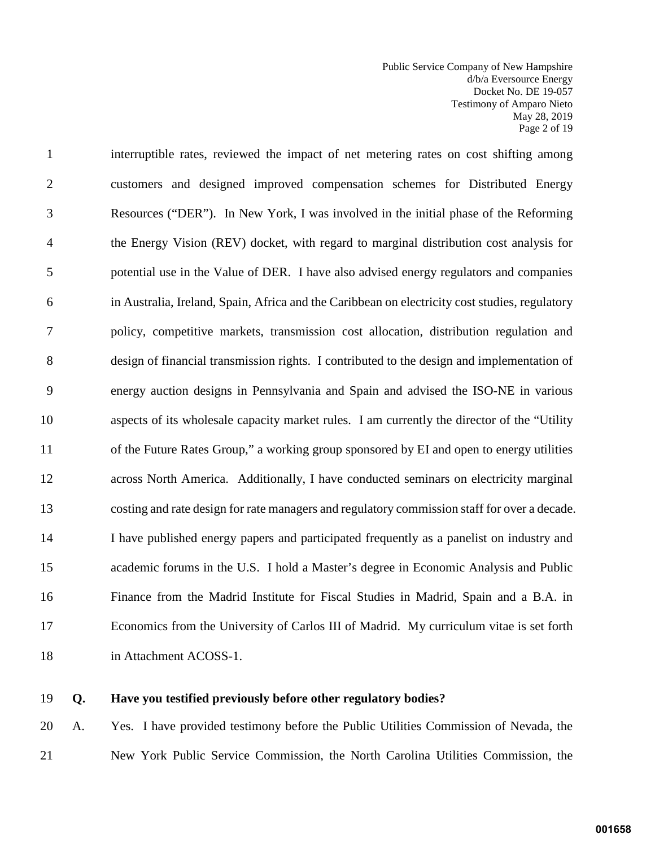Public Service Company of New Hampshire d/b/a Eversource Energy Docket No. DE 19-057 Testimony of Amparo Nieto May 28, 2019 Page 2 of 19

1 interruptible rates, reviewed the impact of net metering rates on cost shifting among 2 customers and designed improved compensation schemes for Distributed Energy 3 Resources ("DER"). In New York, I was involved in the initial phase of the Reforming 4 the Energy Vision (REV) docket, with regard to marginal distribution cost analysis for 5 potential use in the Value of DER. I have also advised energy regulators and companies 6 in Australia, Ireland, Spain, Africa and the Caribbean on electricity cost studies, regulatory 7 policy, competitive markets, transmission cost allocation, distribution regulation and 8 design of financial transmission rights. I contributed to the design and implementation of 9 energy auction designs in Pennsylvania and Spain and advised the ISO-NE in various 10 aspects of its wholesale capacity market rules. I am currently the director of the "Utility 11 of the Future Rates Group," a working group sponsored by EI and open to energy utilities 12 across North America. Additionally, I have conducted seminars on electricity marginal 13 costing and rate design for rate managers and regulatory commission staff for over a decade. 14 I have published energy papers and participated frequently as a panelist on industry and 15 academic forums in the U.S. I hold a Master's degree in Economic Analysis and Public 16 Finance from the Madrid Institute for Fiscal Studies in Madrid, Spain and a B.A. in 17 Economics from the University of Carlos III of Madrid. My curriculum vitae is set forth 18 in Attachment ACOSS-1.

#### 19 **Q. Have you testified previously before other regulatory bodies?**

20 A. Yes. I have provided testimony before the Public Utilities Commission of Nevada, the 21 New York Public Service Commission, the North Carolina Utilities Commission, the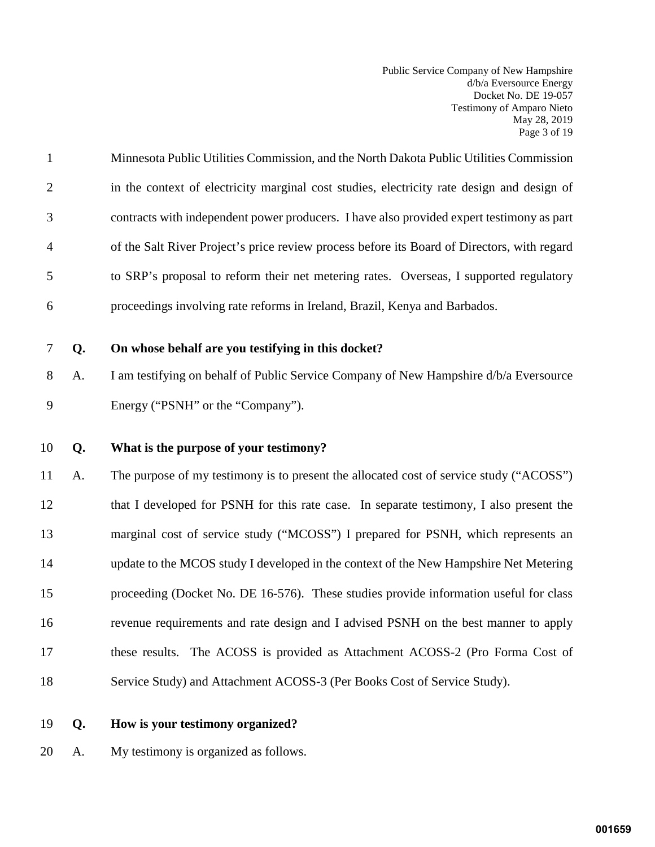Public Service Company of New Hampshire d/b/a Eversource Energy Docket No. DE 19-057 Testimony of Amparo Nieto May 28, 2019 Page 3 of 19

| $\mathbf{1}$   | Minnesota Public Utilities Commission, and the North Dakota Public Utilities Commission     |
|----------------|---------------------------------------------------------------------------------------------|
| 2              | in the context of electricity marginal cost studies, electricity rate design and design of  |
| 3              | contracts with independent power producers. I have also provided expert testimony as part   |
| $\overline{4}$ | of the Salt River Project's price review process before its Board of Directors, with regard |
| 5              | to SRP's proposal to reform their net metering rates. Overseas, I supported regulatory      |
| 6              | proceedings involving rate reforms in Ireland, Brazil, Kenya and Barbados.                  |

# 7 **Q. On whose behalf are you testifying in this docket?**

8 A. I am testifying on behalf of Public Service Company of New Hampshire d/b/a Eversource 9 Energy ("PSNH" or the "Company").

# 10 **Q. What is the purpose of your testimony?**

11 A. The purpose of my testimony is to present the allocated cost of service study ("ACOSS") 12 that I developed for PSNH for this rate case. In separate testimony, I also present the 13 marginal cost of service study ("MCOSS") I prepared for PSNH, which represents an 14 update to the MCOS study I developed in the context of the New Hampshire Net Metering 15 proceeding (Docket No. DE 16-576). These studies provide information useful for class 16 revenue requirements and rate design and I advised PSNH on the best manner to apply 17 these results. The ACOSS is provided as Attachment ACOSS-2 (Pro Forma Cost of 18 Service Study) and Attachment ACOSS-3 (Per Books Cost of Service Study).

- 19 **Q. How is your testimony organized?**
- 20 A. My testimony is organized as follows.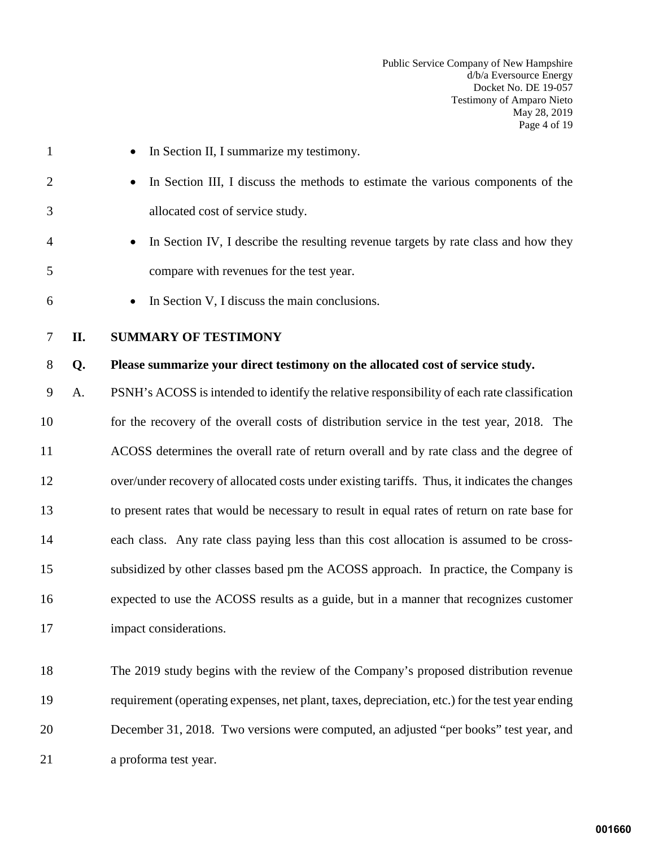Public Service Company of New Hampshire d/b/a Eversource Energy Docket No. DE 19-057 Testimony of Amparo Nieto May 28, 2019 Page 4 of 19

<span id="page-5-0"></span>

| $\mathbf{1}$   |     | In Section II, I summarize my testimony.                                                        |
|----------------|-----|-------------------------------------------------------------------------------------------------|
| $\overline{2}$ |     | In Section III, I discuss the methods to estimate the various components of the                 |
| 3              |     | allocated cost of service study.                                                                |
| 4              |     | In Section IV, I describe the resulting revenue targets by rate class and how they              |
| 5              |     | compare with revenues for the test year.                                                        |
| 6              |     | In Section V, I discuss the main conclusions.                                                   |
| 7              | II. | <b>SUMMARY OF TESTIMONY</b>                                                                     |
| 8              | Q.  | Please summarize your direct testimony on the allocated cost of service study.                  |
| 9              | A.  | PSNH's ACOSS is intended to identify the relative responsibility of each rate classification    |
| 10             |     | for the recovery of the overall costs of distribution service in the test year, 2018. The       |
| 11             |     | ACOSS determines the overall rate of return overall and by rate class and the degree of         |
| 12             |     | over/under recovery of allocated costs under existing tariffs. Thus, it indicates the changes   |
| 13             |     | to present rates that would be necessary to result in equal rates of return on rate base for    |
| 14             |     | each class. Any rate class paying less than this cost allocation is assumed to be cross-        |
| 15             |     | subsidized by other classes based pm the ACOSS approach. In practice, the Company is            |
| 16             |     | expected to use the ACOSS results as a guide, but in a manner that recognizes customer          |
| 17             |     | impact considerations.                                                                          |
| 18             |     | The 2019 study begins with the review of the Company's proposed distribution revenue            |
| 19             |     | requirement (operating expenses, net plant, taxes, depreciation, etc.) for the test year ending |
| 20             |     | December 31, 2018. Two versions were computed, an adjusted "per books" test year, and           |

21 a proforma test year.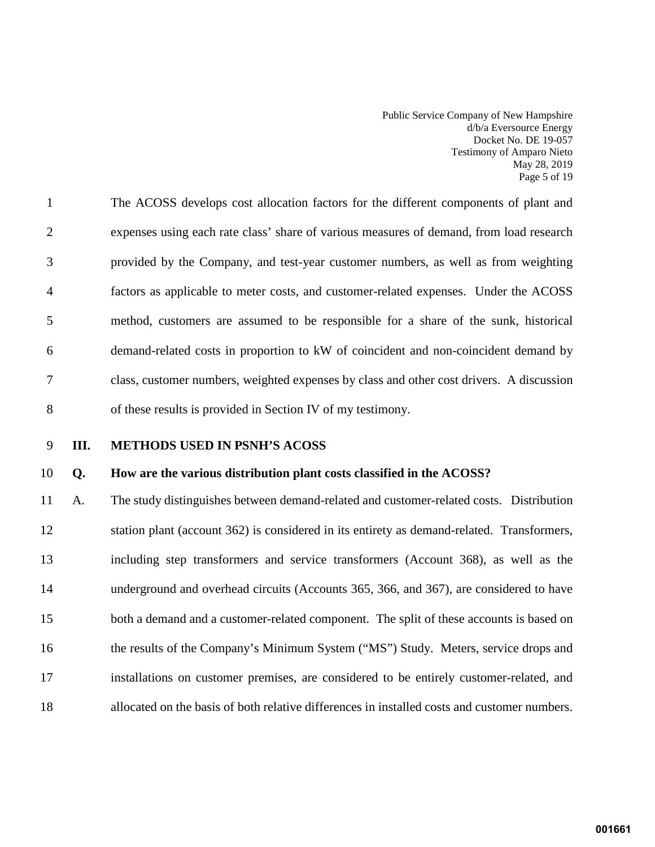Public Service Company of New Hampshire d/b/a Eversource Energy Docket No. DE 19-057 Testimony of Amparo Nieto May 28, 2019 Page 5 of 19

1 The ACOSS develops cost allocation factors for the different components of plant and 2 expenses using each rate class' share of various measures of demand, from load research 3 provided by the Company, and test-year customer numbers, as well as from weighting 4 factors as applicable to meter costs, and customer-related expenses. Under the ACOSS 5 method, customers are assumed to be responsible for a share of the sunk, historical 6 demand-related costs in proportion to kW of coincident and non-coincident demand by 7 class, customer numbers, weighted expenses by class and other cost drivers. A discussion 8 of these results is provided in Section IV of my testimony.

<span id="page-6-0"></span>

#### 9 **III. METHODS USED IN PSNH'S ACOSS**

#### 10 **Q. How are the various distribution plant costs classified in the ACOSS?**

11 A. The study distinguishes between demand-related and customer-related costs. Distribution 12 station plant (account 362) is considered in its entirety as demand-related. Transformers, 13 including step transformers and service transformers (Account 368), as well as the 14 underground and overhead circuits (Accounts 365, 366, and 367), are considered to have 15 both a demand and a customer-related component. The split of these accounts is based on 16 the results of the Company's Minimum System ("MS") Study. Meters, service drops and 17 installations on customer premises, are considered to be entirely customer-related, and 18 allocated on the basis of both relative differences in installed costs and customer numbers.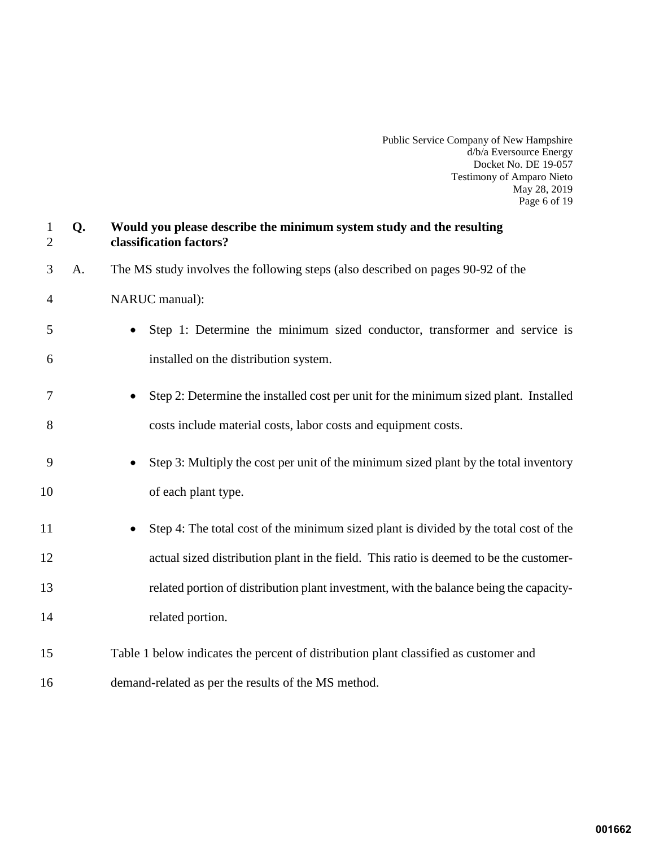Public Service Company of New Hampshire d/b/a Eversource Energy Docket No. DE 19-057 Testimony of Amparo Nieto May 28, 2019 Page 6 of 19

| $\mathbf{1}$<br>$\overline{2}$ | Q. | Would you please describe the minimum system study and the resulting<br>classification factors? |
|--------------------------------|----|-------------------------------------------------------------------------------------------------|
| 3                              | A. | The MS study involves the following steps (also described on pages 90-92 of the                 |
| 4                              |    | NARUC manual):                                                                                  |
| 5                              |    | Step 1: Determine the minimum sized conductor, transformer and service is                       |
| 6                              |    | installed on the distribution system.                                                           |
| 7                              |    | Step 2: Determine the installed cost per unit for the minimum sized plant. Installed            |
| 8                              |    | costs include material costs, labor costs and equipment costs.                                  |
| 9                              |    | Step 3: Multiply the cost per unit of the minimum sized plant by the total inventory            |
| 10                             |    | of each plant type.                                                                             |
| 11                             |    | Step 4: The total cost of the minimum sized plant is divided by the total cost of the           |
| 12                             |    | actual sized distribution plant in the field. This ratio is deemed to be the customer-          |
| 13                             |    | related portion of distribution plant investment, with the balance being the capacity-          |
| 14                             |    | related portion.                                                                                |
| 15                             |    | Table 1 below indicates the percent of distribution plant classified as customer and            |
| 16                             |    | demand-related as per the results of the MS method.                                             |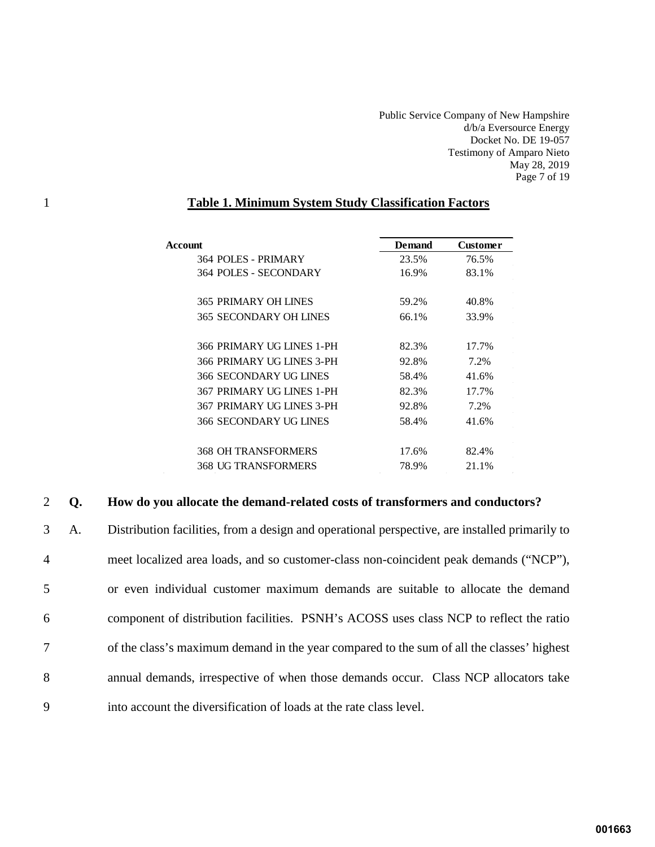Public Service Company of New Hampshire d/b/a Eversource Energy Docket No. DE 19-057 Testimony of Amparo Nieto May 28, 2019 Page 7 of 19

# 1 **Table 1. Minimum System Study Classification Factors**

| Account                     | <b>Demand</b> | Customer |
|-----------------------------|---------------|----------|
| 364 POLES - PRIMARY         | 23.5%         | 76.5%    |
| 364 POLES - SECONDARY       | 16.9%         | 83.1%    |
| <b>365 PRIMARY OH LINES</b> | 59.2%         | 40.8%    |
| 365 SECONDARY OH LINES      | 66.1%         | 33.9%    |
| 366 PRIMARY UG LINES 1-PH   | 82.3%         | 17.7%    |
| 366 PRIMARY UG LINES 3-PH   | 92.8%         | 7.2%     |
| 366 SECONDARY UG LINES      | 58.4%         | 41.6%    |
| 367 PRIMARY UG LINES 1-PH   | 82.3%         | 17.7%    |
| 367 PRIMARY UG LINES 3-PH   | 92.8%         | 7.2%     |
| 366 SECONDARY UG LINES      | 58.4%         | 41.6%    |
| 368 OH TRANSFORMERS         | 17.6%         | 82.4%    |
| 368 UG TRANSFORMERS         | 78.9%         | 21.1%    |
|                             |               |          |

# 2 **Q. How do you allocate the demand-related costs of transformers and conductors?**

| $\mathfrak{Z}$ | A. | Distribution facilities, from a design and operational perspective, are installed primarily to |
|----------------|----|------------------------------------------------------------------------------------------------|
| $\overline{4}$ |    | meet localized area loads, and so customer-class non-coincident peak demands ("NCP"),          |
| 5              |    | or even individual customer maximum demands are suitable to allocate the demand                |
| 6              |    | component of distribution facilities. PSNH's ACOSS uses class NCP to reflect the ratio         |
| $\tau$         |    | of the class's maximum demand in the year compared to the sum of all the classes' highest      |
| 8              |    | annual demands, irrespective of when those demands occur. Class NCP allocators take            |
| 9              |    | into account the diversification of loads at the rate class level.                             |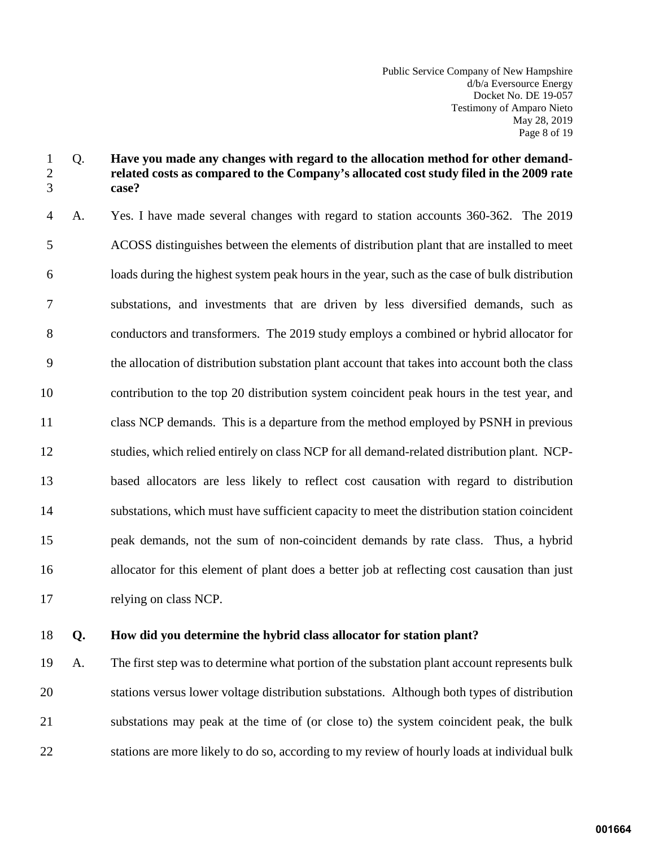Public Service Company of New Hampshire d/b/a Eversource Energy Docket No. DE 19-057 Testimony of Amparo Nieto May 28, 2019 Page 8 of 19

# 1 Q. **Have you made any changes with regard to the allocation method for other demand-**2 **related costs as compared to the Company's allocated cost study filed in the 2009 rate**  3 **case?**

4 A. Yes. I have made several changes with regard to station accounts 360-362. The 2019 5 ACOSS distinguishes between the elements of distribution plant that are installed to meet 6 loads during the highest system peak hours in the year, such as the case of bulk distribution 7 substations, and investments that are driven by less diversified demands, such as 8 conductors and transformers. The 2019 study employs a combined or hybrid allocator for 9 the allocation of distribution substation plant account that takes into account both the class 10 contribution to the top 20 distribution system coincident peak hours in the test year, and 11 class NCP demands. This is a departure from the method employed by PSNH in previous 12 studies, which relied entirely on class NCP for all demand-related distribution plant. NCP-13 based allocators are less likely to reflect cost causation with regard to distribution 14 substations, which must have sufficient capacity to meet the distribution station coincident 15 peak demands, not the sum of non-coincident demands by rate class. Thus, a hybrid 16 allocator for this element of plant does a better job at reflecting cost causation than just 17 relying on class NCP.

# 18 **Q. How did you determine the hybrid class allocator for station plant?**

19 A. The first step was to determine what portion of the substation plant account represents bulk 20 stations versus lower voltage distribution substations. Although both types of distribution 21 substations may peak at the time of (or close to) the system coincident peak, the bulk 22 stations are more likely to do so, according to my review of hourly loads at individual bulk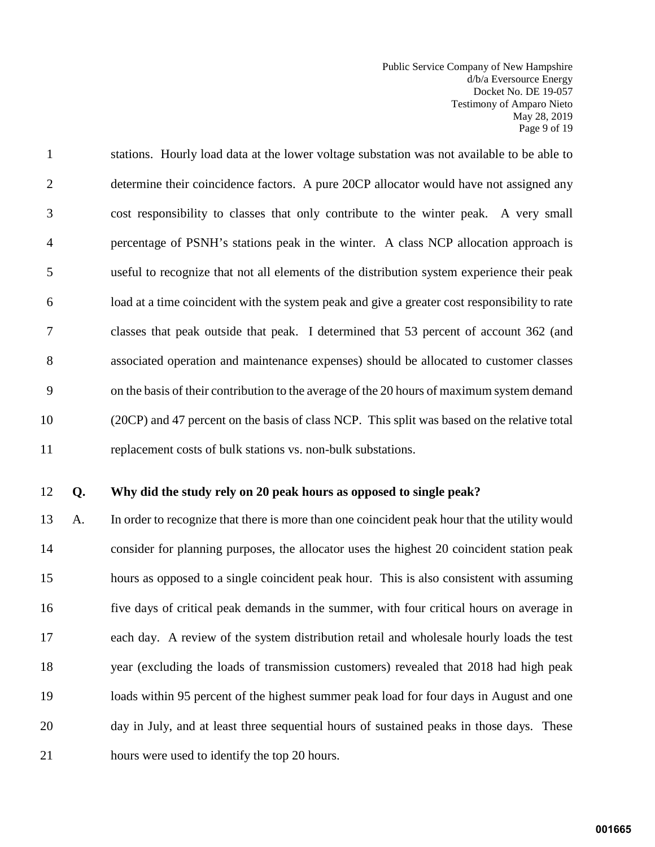Public Service Company of New Hampshire d/b/a Eversource Energy Docket No. DE 19-057 Testimony of Amparo Nieto May 28, 2019 Page 9 of 19

1 stations. Hourly load data at the lower voltage substation was not available to be able to 2 determine their coincidence factors. A pure 20CP allocator would have not assigned any 3 cost responsibility to classes that only contribute to the winter peak. A very small 4 percentage of PSNH's stations peak in the winter. A class NCP allocation approach is 5 useful to recognize that not all elements of the distribution system experience their peak 6 load at a time coincident with the system peak and give a greater cost responsibility to rate 7 classes that peak outside that peak. I determined that 53 percent of account 362 (and 8 associated operation and maintenance expenses) should be allocated to customer classes 9 on the basis of their contribution to the average of the 20 hours of maximum system demand 10 (20CP) and 47 percent on the basis of class NCP. This split was based on the relative total 11 replacement costs of bulk stations vs. non-bulk substations.

#### 12 **Q. Why did the study rely on 20 peak hours as opposed to single peak?**

13 A. In order to recognize that there is more than one coincident peak hour that the utility would 14 consider for planning purposes, the allocator uses the highest 20 coincident station peak 15 hours as opposed to a single coincident peak hour. This is also consistent with assuming 16 five days of critical peak demands in the summer, with four critical hours on average in 17 each day. A review of the system distribution retail and wholesale hourly loads the test 18 year (excluding the loads of transmission customers) revealed that 2018 had high peak 19 loads within 95 percent of the highest summer peak load for four days in August and one 20 day in July, and at least three sequential hours of sustained peaks in those days. These 21 hours were used to identify the top 20 hours.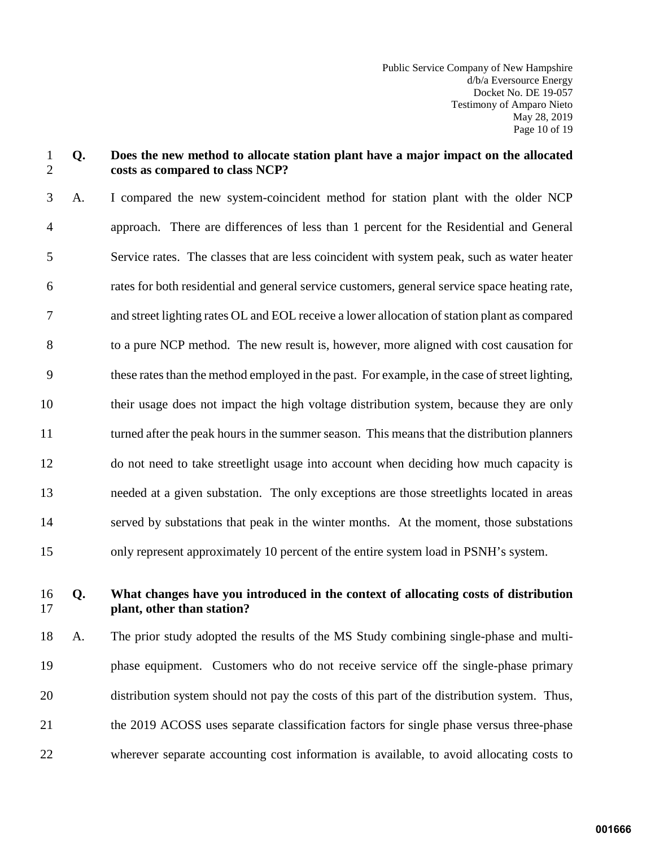Public Service Company of New Hampshire d/b/a Eversource Energy Docket No. DE 19-057 Testimony of Amparo Nieto May 28, 2019 Page 10 of 19

### 1 **Q. Does the new method to allocate station plant have a major impact on the allocated**  2 **costs as compared to class NCP?**

3 A. I compared the new system-coincident method for station plant with the older NCP 4 approach. There are differences of less than 1 percent for the Residential and General 5 Service rates. The classes that are less coincident with system peak, such as water heater 6 rates for both residential and general service customers, general service space heating rate, 7 and street lighting rates OL and EOL receive a lower allocation of station plant as compared 8 to a pure NCP method. The new result is, however, more aligned with cost causation for 9 these ratesthan the method employed in the past. For example, in the case of street lighting, 10 their usage does not impact the high voltage distribution system, because they are only 11 turned after the peak hours in the summer season. This means that the distribution planners 12 do not need to take streetlight usage into account when deciding how much capacity is 13 needed at a given substation. The only exceptions are those streetlights located in areas 14 served by substations that peak in the winter months. At the moment, those substations 15 only represent approximately 10 percent of the entire system load in PSNH's system.

16 **Q. What changes have you introduced in the context of allocating costs of distribution**  17 **plant, other than station?** 

18 A. The prior study adopted the results of the MS Study combining single-phase and multi-19 phase equipment. Customers who do not receive service off the single-phase primary 20 distribution system should not pay the costs of this part of the distribution system. Thus, 21 the 2019 ACOSS uses separate classification factors for single phase versus three-phase 22 wherever separate accounting cost information is available, to avoid allocating costs to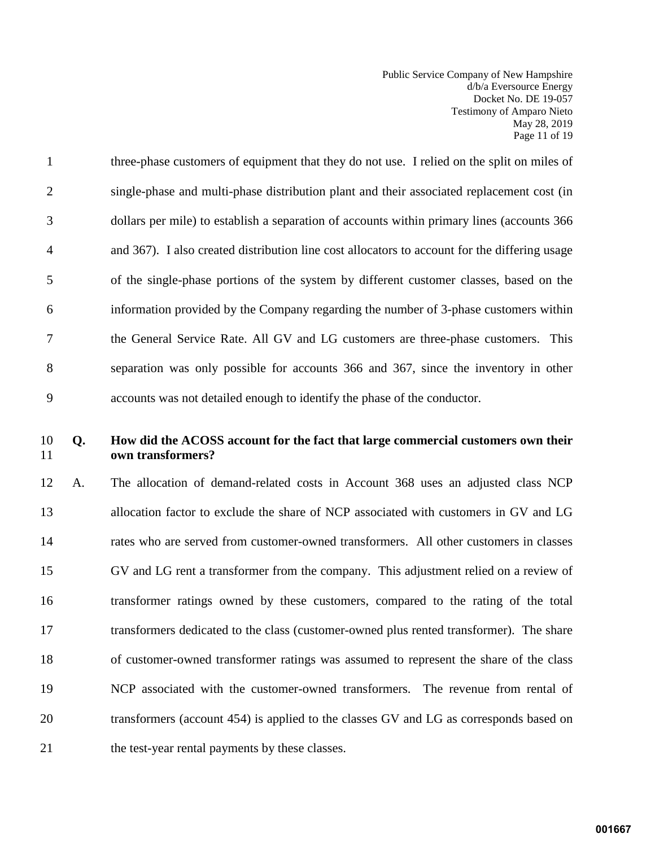Public Service Company of New Hampshire d/b/a Eversource Energy Docket No. DE 19-057 Testimony of Amparo Nieto May 28, 2019 Page 11 of 19

1 three-phase customers of equipment that they do not use. I relied on the split on miles of 2 single-phase and multi-phase distribution plant and their associated replacement cost (in 3 dollars per mile) to establish a separation of accounts within primary lines (accounts 366 4 and 367). I also created distribution line cost allocators to account for the differing usage 5 of the single-phase portions of the system by different customer classes, based on the 6 information provided by the Company regarding the number of 3-phase customers within 7 the General Service Rate. All GV and LG customers are three-phase customers. This 8 separation was only possible for accounts 366 and 367, since the inventory in other 9 accounts was not detailed enough to identify the phase of the conductor.

# 10 **Q. How did the ACOSS account for the fact that large commercial customers own their**  11 **own transformers?**

12 A. The allocation of demand-related costs in Account 368 uses an adjusted class NCP 13 allocation factor to exclude the share of NCP associated with customers in GV and LG 14 rates who are served from customer-owned transformers. All other customers in classes 15 GV and LG rent a transformer from the company. This adjustment relied on a review of 16 transformer ratings owned by these customers, compared to the rating of the total 17 transformers dedicated to the class (customer-owned plus rented transformer). The share 18 of customer-owned transformer ratings was assumed to represent the share of the class 19 NCP associated with the customer-owned transformers. The revenue from rental of 20 transformers (account 454) is applied to the classes GV and LG as corresponds based on 21 the test-year rental payments by these classes.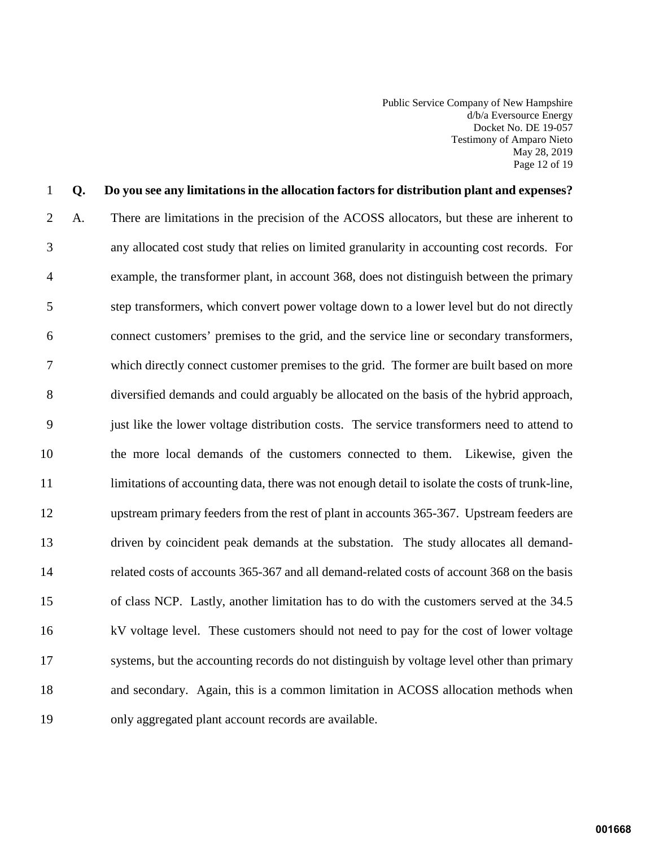Public Service Company of New Hampshire d/b/a Eversource Energy Docket No. DE 19-057 Testimony of Amparo Nieto May 28, 2019 Page 12 of 19

# 1 **Q. Do you see any limitations in the allocation factors for distribution plant and expenses?**  2 A. There are limitations in the precision of the ACOSS allocators, but these are inherent to 3 any allocated cost study that relies on limited granularity in accounting cost records. For 4 example, the transformer plant, in account 368, does not distinguish between the primary 5 step transformers, which convert power voltage down to a lower level but do not directly 6 connect customers' premises to the grid, and the service line or secondary transformers, 7 which directly connect customer premises to the grid. The former are built based on more 8 diversified demands and could arguably be allocated on the basis of the hybrid approach, 9 just like the lower voltage distribution costs. The service transformers need to attend to 10 the more local demands of the customers connected to them. Likewise, given the 11 limitations of accounting data, there was not enough detail to isolate the costs of trunk-line, 12 upstream primary feeders from the rest of plant in accounts 365-367. Upstream feeders are 13 driven by coincident peak demands at the substation. The study allocates all demand-14 related costs of accounts 365-367 and all demand-related costs of account 368 on the basis 15 of class NCP. Lastly, another limitation has to do with the customers served at the 34.5 16 kV voltage level. These customers should not need to pay for the cost of lower voltage 17 systems, but the accounting records do not distinguish by voltage level other than primary 18 and secondary. Again, this is a common limitation in ACOSS allocation methods when 19 only aggregated plant account records are available.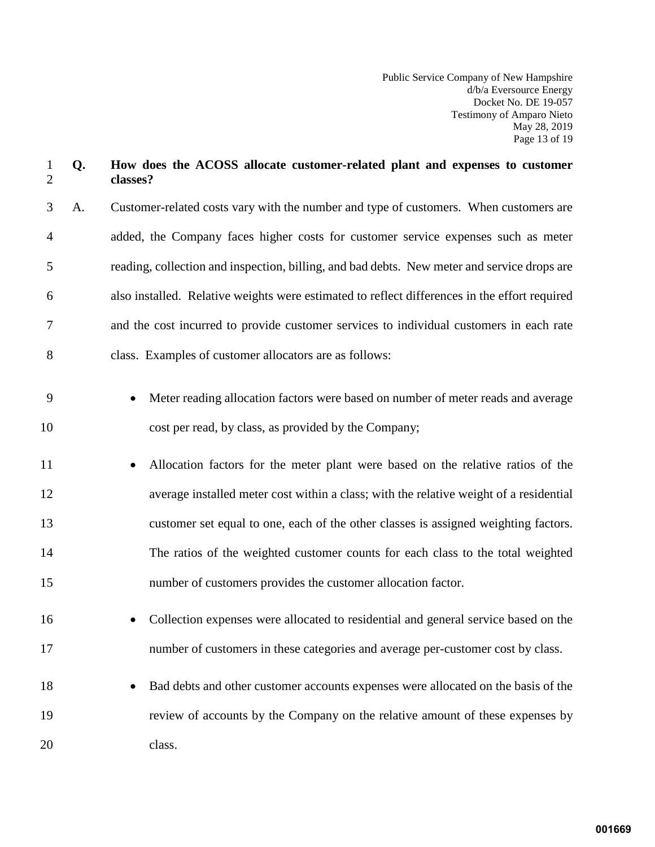Public Service Company of New Hampshire d/b/a Eversource Energy Docket No. DE 19-057 Testimony of Amparo Nieto May 28, 2019 Page 13 of 19

# 1 **Q. How does the ACOSS allocate customer-related plant and expenses to customer**  2 **classes?**

3 A. Customer-related costs vary with the number and type of customers. When customers are 4 added, the Company faces higher costs for customer service expenses such as meter 5 reading, collection and inspection, billing, and bad debts. New meter and service drops are 6 also installed. Relative weights were estimated to reflect differences in the effort required 7 and the cost incurred to provide customer services to individual customers in each rate 8 class. Examples of customer allocators are as follows:

- 9 Meter reading allocation factors were based on number of meter reads and average 10 cost per read, by class, as provided by the Company;
- 11 Allocation factors for the meter plant were based on the relative ratios of the 12 average installed meter cost within a class; with the relative weight of a residential 13 customer set equal to one, each of the other classes is assigned weighting factors. 14 The ratios of the weighted customer counts for each class to the total weighted 15 number of customers provides the customer allocation factor.
- 16 Collection expenses were allocated to residential and general service based on the 17 number of customers in these categories and average per-customer cost by class.
- 18 Bad debts and other customer accounts expenses were allocated on the basis of the 19 review of accounts by the Company on the relative amount of these expenses by 20 class.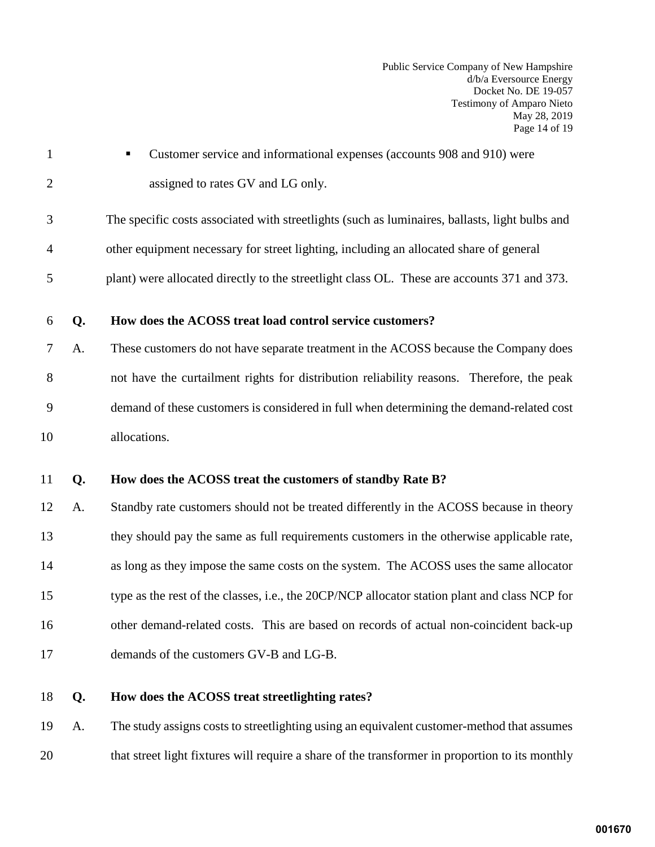Public Service Company of New Hampshire d/b/a Eversource Energy Docket No. DE 19-057 Testimony of Amparo Nieto May 28, 2019 Page 14 of 19

1 Customer service and informational expenses (accounts 908 and 910) were 2 assigned to rates GV and LG only.

3 The specific costs associated with streetlights (such as luminaires, ballasts, light bulbs and 4 other equipment necessary for street lighting, including an allocated share of general

- 5 plant) were allocated directly to the streetlight class OL. These are accounts 371 and 373.
- 6 **Q. How does the ACOSS treat load control service customers?**
- 7 A. These customers do not have separate treatment in the ACOSS because the Company does 8 not have the curtailment rights for distribution reliability reasons. Therefore, the peak 9 demand of these customers is considered in full when determining the demand-related cost 10 allocations.
- 11 **Q. How does the ACOSS treat the customers of standby Rate B?**
- 12 A. Standby rate customers should not be treated differently in the ACOSS because in theory 13 they should pay the same as full requirements customers in the otherwise applicable rate, 14 as long as they impose the same costs on the system. The ACOSS uses the same allocator 15 type as the rest of the classes, i.e., the 20CP/NCP allocator station plant and class NCP for 16 other demand-related costs. This are based on records of actual non-coincident back-up 17 demands of the customers GV-B and LG-B.
- 18 **Q. How does the ACOSS treat streetlighting rates?**

19 A. The study assigns costs to streetlighting using an equivalent customer-method that assumes 20 that street light fixtures will require a share of the transformer in proportion to its monthly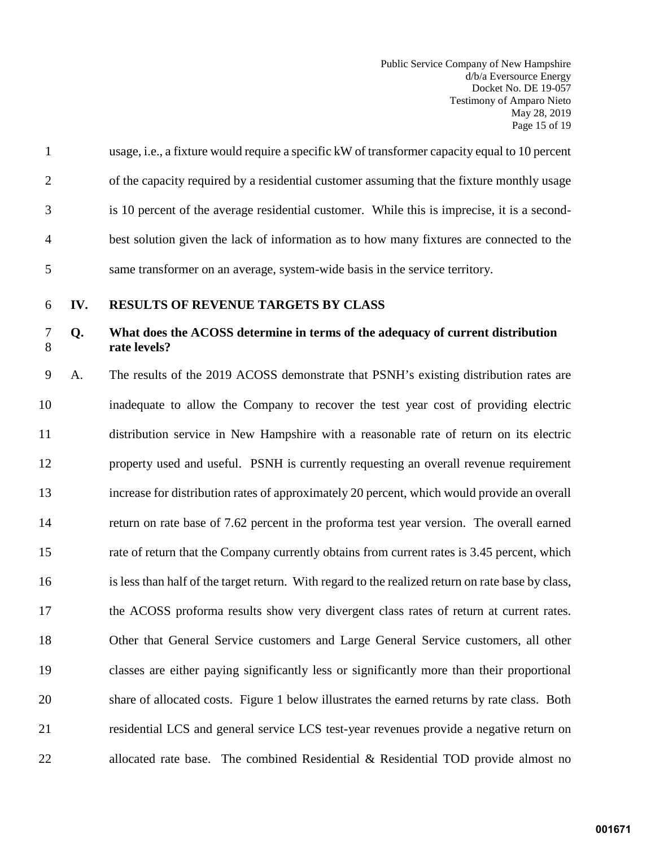Public Service Company of New Hampshire d/b/a Eversource Energy Docket No. DE 19-057 Testimony of Amparo Nieto May 28, 2019 Page 15 of 19

|                | usage, i.e., a fixture would require a specific kW of transformer capacity equal to 10 percent |
|----------------|------------------------------------------------------------------------------------------------|
| 2              | of the capacity required by a residential customer assuming that the fixture monthly usage     |
| 3              | is 10 percent of the average residential customer. While this is imprecise, it is a second-    |
| $\overline{4}$ | best solution given the lack of information as to how many fixtures are connected to the       |
| 5              | same transformer on an average, system-wide basis in the service territory.                    |

<span id="page-16-0"></span>

#### 6 **IV. RESULTS OF REVENUE TARGETS BY CLASS**

# 7 **Q. What does the ACOSS determine in terms of the adequacy of current distribution**  8 **rate levels?**

9 A. The results of the 2019 ACOSS demonstrate that PSNH's existing distribution rates are 10 inadequate to allow the Company to recover the test year cost of providing electric 11 distribution service in New Hampshire with a reasonable rate of return on its electric 12 property used and useful. PSNH is currently requesting an overall revenue requirement 13 increase for distribution rates of approximately 20 percent, which would provide an overall 14 return on rate base of 7.62 percent in the proforma test year version. The overall earned 15 rate of return that the Company currently obtains from current rates is 3.45 percent, which 16 is less than half of the target return. With regard to the realized return on rate base by class, 17 the ACOSS proforma results show very divergent class rates of return at current rates. 18 Other that General Service customers and Large General Service customers, all other 19 classes are either paying significantly less or significantly more than their proportional 20 share of allocated costs. Figure 1 below illustrates the earned returns by rate class. Both 21 residential LCS and general service LCS test-year revenues provide a negative return on 22 allocated rate base. The combined Residential & Residential TOD provide almost no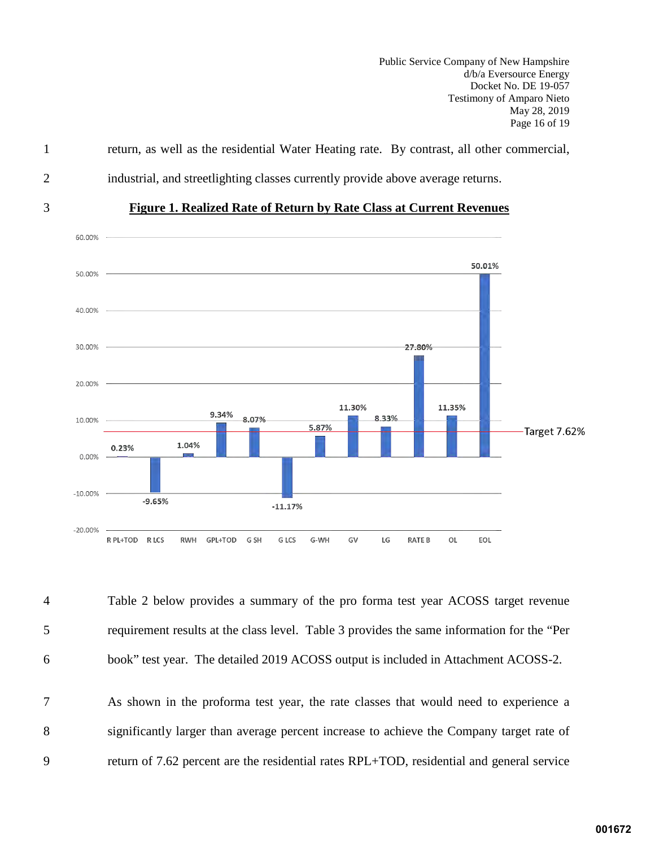Public Service Company of New Hampshire d/b/a Eversource Energy Docket No. DE 19-057 Testimony of Amparo Nieto May 28, 2019 Page 16 of 19



1 return, as well as the residential Water Heating rate. By contrast, all other commercial,

4 Table 2 below provides a summary of the pro forma test year ACOSS target revenue 5 requirement results at the class level. Table 3 provides the same information for the "Per 6 book" test year. The detailed 2019 ACOSS output is included in Attachment ACOSS-2.

7 As shown in the proforma test year, the rate classes that would need to experience a 8 significantly larger than average percent increase to achieve the Company target rate of 9 return of 7.62 percent are the residential rates RPL+TOD, residential and general service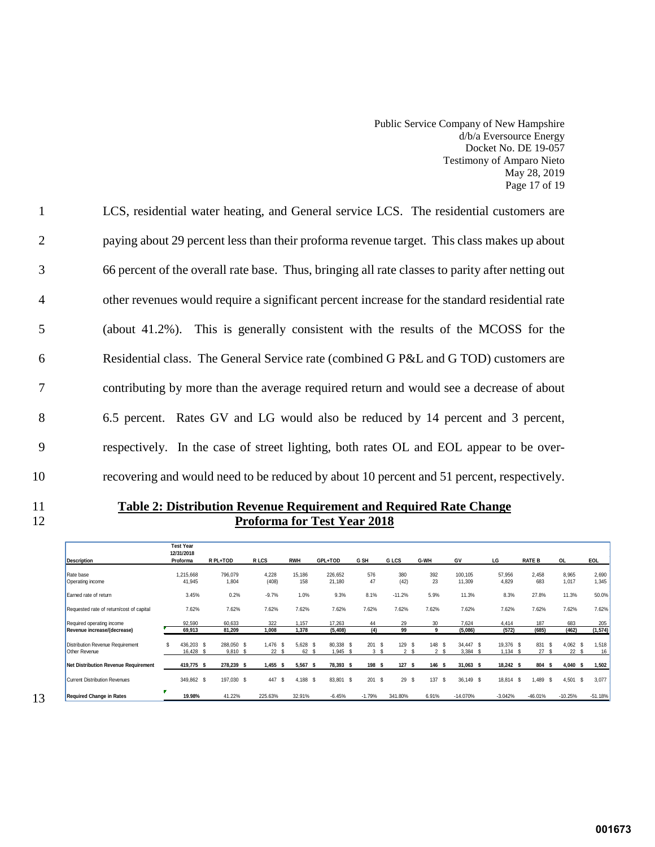Public Service Company of New Hampshire d/b/a Eversource Energy Docket No. DE 19-057 Testimony of Amparo Nieto May 28, 2019 Page 17 of 19

1 LCS, residential water heating, and General service LCS. The residential customers are 2 paying about 29 percent less than their proforma revenue target. This class makes up about 3 66 percent of the overall rate base. Thus, bringing all rate classes to parity after netting out 4 other revenues would require a significant percent increase for the standard residential rate 5 (about 41.2%). This is generally consistent with the results of the MCOSS for the 6 Residential class. The General Service rate (combined G P&L and G TOD) customers are 7 contributing by more than the average required return and would see a decrease of about 8 6.5 percent. Rates GV and LG would also be reduced by 14 percent and 3 percent, 9 respectively. In the case of street lighting, both rates OL and EOL appear to be over-10 recovering and would need to be reduced by about 10 percent and 51 percent, respectively.

11 **Table 2: Distribution Revenue Requirement and Required Rate Change** 12 **Proforma for Test Year 2018** 

|                                                          | <b>Test Year</b><br>12/31/2018 | R PL+TOD                     | R LCS               | <b>RWH</b>          | GPL+TOD                 | G SH       | G LCS                    | G-WH                        | GV                         | LG                         | <b>RATE B</b>     | <b>OL</b>         | <b>EOL</b>     |
|----------------------------------------------------------|--------------------------------|------------------------------|---------------------|---------------------|-------------------------|------------|--------------------------|-----------------------------|----------------------------|----------------------------|-------------------|-------------------|----------------|
| <b>Description</b>                                       | Proforma                       |                              |                     |                     |                         |            |                          |                             |                            |                            |                   |                   |                |
| Rate base<br>Operating income                            | 1,215,668<br>41,945            | 796,079<br>1,804             | 4,228<br>(408)      | 15,186<br>158       | 226,652<br>21,180       | 576<br>47  | 380<br>(42)              | 392<br>23                   | 100,105<br>11,309          | 57,956<br>4,829            | 2,458<br>683      | 8,965<br>1,017    | 2,690<br>1,345 |
| Earned rate of return                                    | 3.45%                          | 0.2%                         | $-9.7%$             | 1.0%                | 9.3%                    | 8.1%       | $-11.2%$                 | 5.9%                        | 11.3%                      | 8.3%                       | 27.8%             | 11.3%             | 50.0%          |
| Requested rate of return/cost of capital                 | 7.62%                          | 7.62%                        | 7.62%               | 7.62%               | 7.62%                   | 7.62%      | 7.62%                    | 7.62%                       | 7.62%                      | 7.62%                      | 7.62%             | 7.62%             | 7.62%          |
| Required operating income                                | 92.590                         | 60.633                       | 322                 | 1.157               | 17,263                  | 44         | 29                       | 30                          | 7.624                      | 4,414                      | 187               | 683               | 205            |
| Revenue increase/(decrease)                              | 69,913                         | 81,209                       | 1,008               | 1,378               | (5, 408)                | (4)        | 99                       | 9                           | (5,086)                    | (572)                      | (685)             | (462)             | (1, 574)       |
| Distribution Revenue Requirement<br><b>Other Revenue</b> | 436.203<br>16,428              | 288.050 \$<br>-S<br>9,810 \$ | 1.476<br>\$.<br>22S | 5,628<br>- \$<br>62 | 80,338<br>- \$<br>1,945 | 201S<br>3S | 129 \$<br>2 <sup>5</sup> | -S<br>148<br>2 <sup>5</sup> | 34.447 \$<br>3,384<br>- \$ | 19,376 \$<br>1,134<br>- \$ | 831<br>-S<br>27S  | $4,062$ \$<br>22S | 1,518<br>16    |
| Net Distribution Revenue Requirement                     | 419,775 \$                     | 278,239 \$                   | 1,455<br>s          | 5,567<br>-S         | 78,393 \$               | 198 \$     | 127S                     | 146S                        | $31,063$ \$                | 18,242 \$                  | 804 \$            | $4,040$ \$        | 1,502          |
| Current Distribution Revenues                            | 349,862 \$                     | 197,030 \$                   | 447<br>\$.          | 4,188<br>- \$       | 83,801<br>- \$          | 201S       | 29                       | 137<br>-S<br>-S             | 36,149 \$                  | 18,814                     | -S<br>.489<br>- S | 4,501             | -S<br>3,077    |
| <b>Required Change in Rates</b>                          | ×<br>19.98%                    | 41.22%                       | 225.63%             | 32.91%              | $-6.45%$                | $-1.79%$   | 341.80%                  | 6.91%                       | $-14.070%$                 | $-3.042%$                  | $-46.01%$         | $-10.25%$         | $-51.18%$      |

13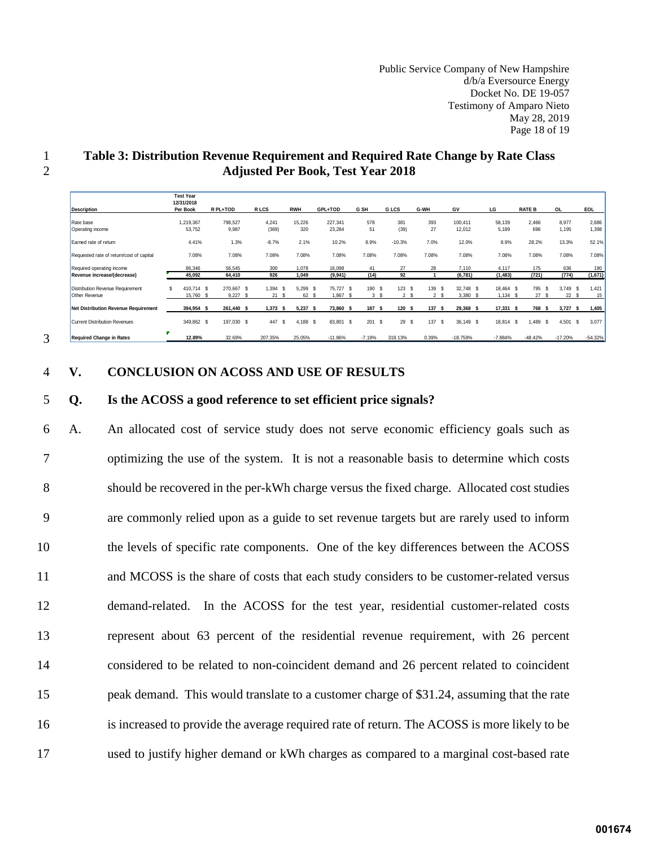Public Service Company of New Hampshire d/b/a Eversource Energy Docket No. DE 19-057 Testimony of Amparo Nieto May 28, 2019 Page 18 of 19

| <b>Description</b>                       | <b>Test Year</b><br>12/31/2018<br>Per Book |                | R PL+TOD   | R LCS |            | <b>RWH</b>  | GPL+TOD         | G SH     | <b>GLCS</b> |                      | G-WH  | GV         |           | LG         | <b>RATE B</b> | <b>OL</b> |            | EOL          |           |
|------------------------------------------|--------------------------------------------|----------------|------------|-------|------------|-------------|-----------------|----------|-------------|----------------------|-------|------------|-----------|------------|---------------|-----------|------------|--------------|-----------|
| Rate base                                |                                            | 1,219,367      | 798,527    |       | 4,241      | 15,226      | 227,341         | 578      | 381         |                      | 393   | 100,411    |           | 58,139     | 2.466         |           | 8,977      |              | 2,686     |
| Operating income                         |                                            | 53,752         | 9,987      |       | (369)      | 320         | 23,284          | 51       |             | (39)                 | 27    | 12,012     |           | 5,189      | 696           |           | 1,195      |              | 1,398     |
| Earned rate of return                    |                                            | 4.41%          | 1.3%       |       | $-8.7%$    | 2.1%        | 10.2%           | 8.9%     | $-10.3%$    |                      | 7.0%  |            | 12.0%     | 8.9%       | 28.2%         |           | 13.3%      |              | 52.1%     |
| Requested rate of return/cost of capital |                                            | 7.08%          | 7.08%      |       | 7.08%      | 7.08%       | 7.08%           | 7.08%    | 7.08%       |                      | 7.08% | 7.08%      |           | 7.08%      | 7.08%         |           | 7.08%      |              | 7.08%     |
| Required operating income                |                                            | 86,346         | 56.545     |       | 300        | 1.078       | 16,098          | 41       |             | 27                   | 28    | 7.110      |           | 4.117      | 175           |           | 636        |              | 190       |
| Revenue increase/(decrease)              |                                            | 45.092         | 64.410     |       | 926        | 1.049       | (9,941)         | (14)     |             | 92                   |       | (6,781)    |           | (1, 483)   | (721)         |           | (774)      |              | (1,671)   |
| <b>Distribution Revenue Requirement</b>  | \$                                         | 410.714 \$     | 270.667 \$ |       | 1.394      | 5,299<br>S. | 75.727 \$<br>-S | 190      | - \$        | 123S                 | 139 S |            | 32.748 \$ | 18.464 \$  | 795           | - \$      | 3,749      | $\mathbf{s}$ | 1.421     |
| <b>Other Revenue</b>                     |                                            | 15.760<br>- \$ | 9.227      |       | 21         | 62<br>S     | 1.867<br>-S     | 3        | -S          | $\overline{2}$<br>-S | 2 S   | 3.380      |           | $1.134$ \$ | 27            | -S        | 22         | - 31         | 15        |
| Net Distribution Revenue Requirement     |                                            | 394,954 \$     | 261,440 \$ |       | $1,373$ \$ | 5,237       | 73,860 \$<br>-S | 187 \$   |             | 120S                 | 137   | ŝ          | 29,368 \$ | 17,331 \$  | 768 \$        |           | 3,727      | -S           | 1,405     |
| <b>Current Distribution Revenues</b>     |                                            | 349,862 \$     | 197.030 \$ |       | 447        | 4,188<br>S. | -S<br>83,801 \$ | 201      | - \$        | 29<br>-S             | 137S  |            | 36.149 \$ | 18.814 \$  | 1.489 \$      |           | $4,501$ \$ |              | 3.077     |
| <b>Required Change in Rates</b>          |                                            | 12.89%         | 32.69%     |       | 207.35%    | 25.05%      | $-11.86%$       | $-7.19%$ | 318.13%     |                      | 0.39% | $-18.759%$ |           | $-7.884%$  | $-48.42%$     |           | $-17.20%$  |              | $-54.32%$ |

## 1 **Table 3: Distribution Revenue Requirement and Required Rate Change by Rate Class**  2 **Adjusted Per Book, Test Year 2018**

<span id="page-19-0"></span>3

#### 4 **V. CONCLUSION ON ACOSS AND USE OF RESULTS**

#### 5 **Q. Is the ACOSS a good reference to set efficient price signals?**

6 A. An allocated cost of service study does not serve economic efficiency goals such as 7 optimizing the use of the system. It is not a reasonable basis to determine which costs 8 should be recovered in the per-kWh charge versus the fixed charge. Allocated cost studies 9 are commonly relied upon as a guide to set revenue targets but are rarely used to inform 10 the levels of specific rate components. One of the key differences between the ACOSS 11 and MCOSS is the share of costs that each study considers to be customer-related versus 12 demand-related. In the ACOSS for the test year, residential customer-related costs 13 represent about 63 percent of the residential revenue requirement, with 26 percent 14 considered to be related to non-coincident demand and 26 percent related to coincident 15 peak demand. This would translate to a customer charge of \$31.24, assuming that the rate 16 is increased to provide the average required rate of return. The ACOSS is more likely to be 17 used to justify higher demand or kWh charges as compared to a marginal cost-based rate